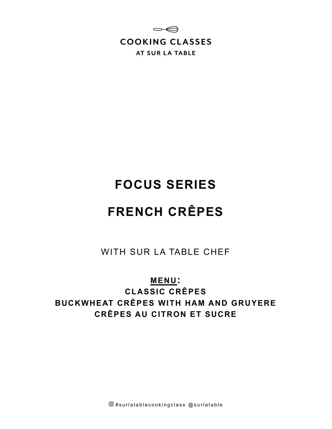

# **FOCUS SERIES**

# **FRENCH CRÊPES**

WITH SUR LA TABLE CHEF

# **MENU:**

**CLASSIC CRÊPES BUCKWHEAT CRÊPES WITH HAM AND GRUYERE CRÊPES AU CITRON ET SUCRE**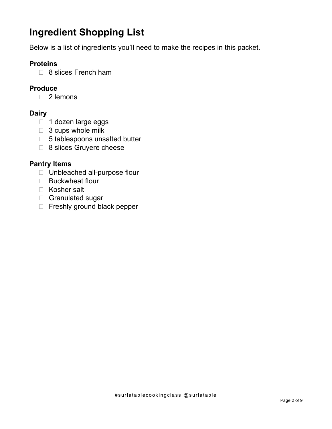# **Ingredient Shopping List**

Below is a list of ingredients you'll need to make the recipes in this packet.

#### **Proteins**

□ 8 slices French ham

### **Produce**

□ 2 lemons

#### **Dairy**

- □ 1 dozen large eggs
- $\Box$  3 cups whole milk
- $\Box$  5 tablespoons unsalted butter
- 8 slices Gruyere cheese

#### **Pantry Items**

- □ Unbleached all-purpose flour
- □ Buckwheat flour
- □ Kosher salt
- Granulated sugar
- □ Freshly ground black pepper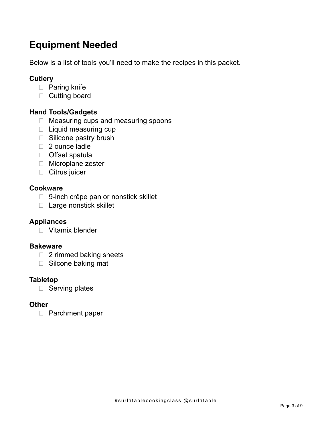# **Equipment Needed**

Below is a list of tools you'll need to make the recipes in this packet.

## **Cutlery**

- D Paring knife
- □ Cutting board

## **Hand Tools/Gadgets**

- $\Box$  Measuring cups and measuring spoons
- □ Liquid measuring cup
- □ Silicone pastry brush
- □ 2 ounce ladle
- □ Offset spatula
- □ Microplane zester
- **Citrus juicer**

#### **Cookware**

- □ 9-inch crêpe pan or nonstick skillet
- □ Large nonstick skillet

### **Appliances**

Vitamix blender

#### **Bakeware**

- $\Box$  2 rimmed baking sheets
- □ Silcone baking mat

### **Tabletop**

 $\Box$  Serving plates

### **Other**

□ Parchment paper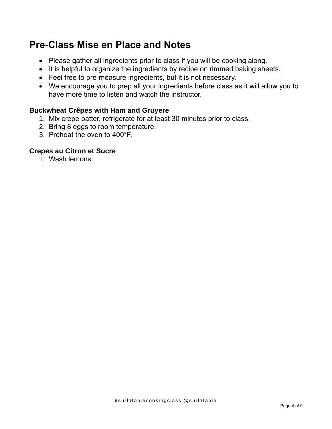# **Pre-Class Mise en Place and Notes**

- Please gather all ingredients prior to class if you will be cooking along.
- It is helpful to organize the ingredients by recipe on rimmed baking sheets.
- Feel free to pre-measure ingredients, but it is not necessary.
- We encourage you to prep all your ingredients before class as it will allow you to have more time to listen and watch the instructor.

### **Buckwheat Crêpes with Ham and Gruyere**

- 1. Mix crepe batter, refrigerate for at least 30 minutes prior to class.
- 2. Bring 8 eggs to room temperature.
- 3. Preheat the oven to 400°F.

#### **Crepes au Citron et Sucre**

1. Wash lemons.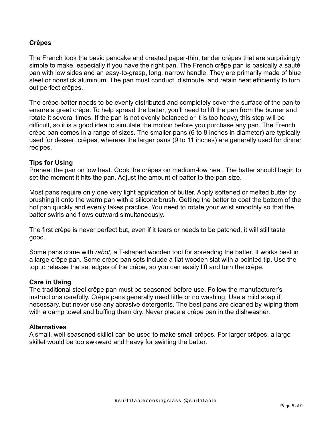#### **Crêpes**

The French took the basic pancake and created paper-thin, tender crêpes that are surprisingly simple to make, especially if you have the right pan. The French crêpe pan is basically a sauté pan with low sides and an easy-to-grasp, long, narrow handle. They are primarily made of blue steel or nonstick aluminum. The pan must conduct, distribute, and retain heat efficiently to turn out perfect crêpes.

The crêpe batter needs to be evenly distributed and completely cover the surface of the pan to ensure a great crêpe. To help spread the batter, you'll need to lift the pan from the burner and rotate it several times. If the pan is not evenly balanced or it is too heavy, this step will be difficult, so it is a good idea to simulate the motion before you purchase any pan. The French crêpe pan comes in a range of sizes. The smaller pans (6 to 8 inches in diameter) are typically used for dessert crêpes, whereas the larger pans (9 to 11 inches) are generally used for dinner recipes.

#### **Tips for Using**

Preheat the pan on low heat. Cook the crêpes on medium-low heat. The batter should begin to set the moment it hits the pan. Adjust the amount of batter to the pan size.

Most pans require only one very light application of butter. Apply softened or melted butter by brushing it onto the warm pan with a silicone brush. Getting the batter to coat the bottom of the hot pan quickly and evenly takes practice. You need to rotate your wrist smoothly so that the batter swirls and flows outward simultaneously.

The first crêpe is never perfect but, even if it tears or needs to be patched, it will still taste good.

Some pans come with *rabot,* a T-shaped wooden tool for spreading the batter. It works best in a large crêpe pan. Some crêpe pan sets include a flat wooden slat with a pointed tip. Use the top to release the set edges of the crêpe, so you can easily lift and turn the crêpe.

#### **Care in Using**

The traditional steel crêpe pan must be seasoned before use. Follow the manufacturer's instructions carefully. Crêpe pans generally need little or no washing. Use a mild soap if necessary, but never use any abrasive detergents. The best pans are cleaned by wiping them with a damp towel and buffing them dry. Never place a crêpe pan in the dishwasher.

#### **Alternatives**

A small, well-seasoned skillet can be used to make small crêpes. For larger crêpes, a large skillet would be too awkward and heavy for swirling the batter.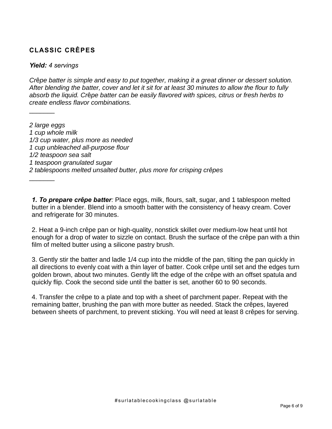## **CLASSIC CRÊPES**

#### *Yield: 4 servings*

 $\frac{1}{2}$ 

 $\frac{1}{2}$ 

*Cr*ê*pe batter is simple and easy to put together, making it a great dinner or dessert solution. After blending the batter, cover and let it sit for at least 30 minutes to allow the flour to fully absorb the liquid. Cr*ê*pe batter can be easily flavored with spices, citrus or fresh herbs to create endless flavor combinations.*

*2 large eggs 1 cup whole milk 1/3 cup water, plus more as needed 1 cup unbleached all-purpose flour 1/2 teaspoon sea salt 1 teaspoon granulated sugar 2 tablespoons melted unsalted butter, plus more for crisping crêpes*

*1. To prepare crêpe batter:* Place eggs, milk, flours, salt, sugar, and 1 tablespoon melted butter in a blender. Blend into a smooth batter with the consistency of heavy cream. Cover and refrigerate for 30 minutes.

2. Heat a 9-inch crêpe pan or high-quality, nonstick skillet over medium-low heat until hot enough for a drop of water to sizzle on contact. Brush the surface of the crêpe pan with a thin film of melted butter using a silicone pastry brush.

3. Gently stir the batter and ladle 1/4 cup into the middle of the pan, tilting the pan quickly in all directions to evenly coat with a thin layer of batter. Cook crêpe until set and the edges turn golden brown, about two minutes. Gently lift the edge of the crêpe with an offset spatula and quickly flip. Cook the second side until the batter is set, another 60 to 90 seconds.

4. Transfer the crêpe to a plate and top with a sheet of parchment paper. Repeat with the remaining batter, brushing the pan with more butter as needed. Stack the crêpes, layered between sheets of parchment, to prevent sticking. You will need at least 8 crêpes for serving.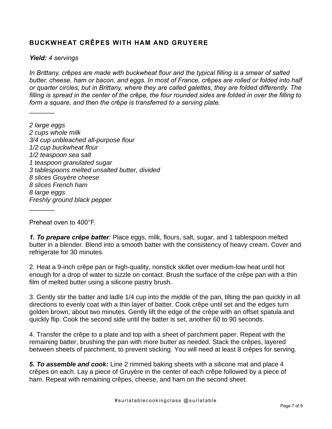### **BUCKWHEAT CRÊPES WITH HAM AND GRUYERE**

*Yield: 4 servings*

 $\frac{1}{2}$ 

 $\frac{1}{2}$ 

*In Brittany, cr*ê*pes are made with buckwheat flour and the typical filling is a smear of salted butter, cheese, ham or bacon, and eggs. In most of France, cr*ê*pes are rolled or folded into half or quarter circles, but in Brittany, where they are called galettes, they are folded differently. The filling is spread in the center of the cr*ê*pe, the four rounded sides are folded in over the filling to form a square, and then the cr*ê*pe is transferred to a serving plate.* 

*2 large eggs 2 cups whole milk 3/4 cup unbleached all-purpose flour 1/2 cup buckwheat flour 1/2 teaspoon sea salt 1 teaspoon granulated sugar 3 tablespoons melted unsalted butter, divided 8 slices Gruyère cheese 8 slices French ham 8 large eggs Freshly ground black pepper*

Preheat oven to 400°F.

*1. To prepare crêpe batter:* Place eggs, milk, flours, salt, sugar, and 1 tablespoon melted butter in a blender. Blend into a smooth batter with the consistency of heavy cream. Cover and refrigerate for 30 minutes.

2. Heat a 9-inch crêpe pan or high-quality, nonstick skillet over medium-low heat until hot enough for a drop of water to sizzle on contact. Brush the surface of the crêpe pan with a thin film of melted butter using a silicone pastry brush.

3. Gently stir the batter and ladle 1/4 cup into the middle of the pan, tilting the pan quickly in all directions to evenly coat with a thin layer of batter. Cook crêpe until set and the edges turn golden brown, about two minutes. Gently lift the edge of the crêpe with an offset spatula and quickly flip. Cook the second side until the batter is set, another 60 to 90 seconds.

4. Transfer the crêpe to a plate and top with a sheet of parchment paper. Repeat with the remaining batter, brushing the pan with more butter as needed. Stack the crêpes, layered between sheets of parchment, to prevent sticking. You will need at least 8 crêpes for serving.

*5. To assemble and cook:* Line 2 rimmed baking sheets with a silicone mat and place 4 crêpes on each. Lay a piece of Gruyère in the center of each crêpe followed by a piece of ham. Repeat with remaining crêpes, cheese, and ham on the second sheet.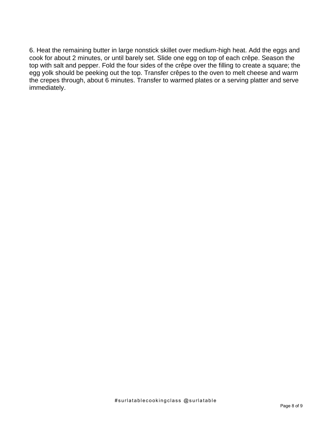6. Heat the remaining butter in large nonstick skillet over medium-high heat. Add the eggs and cook for about 2 minutes, or until barely set. Slide one egg on top of each crêpe. Season the top with salt and pepper. Fold the four sides of the crêpe over the filling to create a square; the egg yolk should be peeking out the top. Transfer crêpes to the oven to melt cheese and warm the crepes through, about 6 minutes. Transfer to warmed plates or a serving platter and serve immediately.